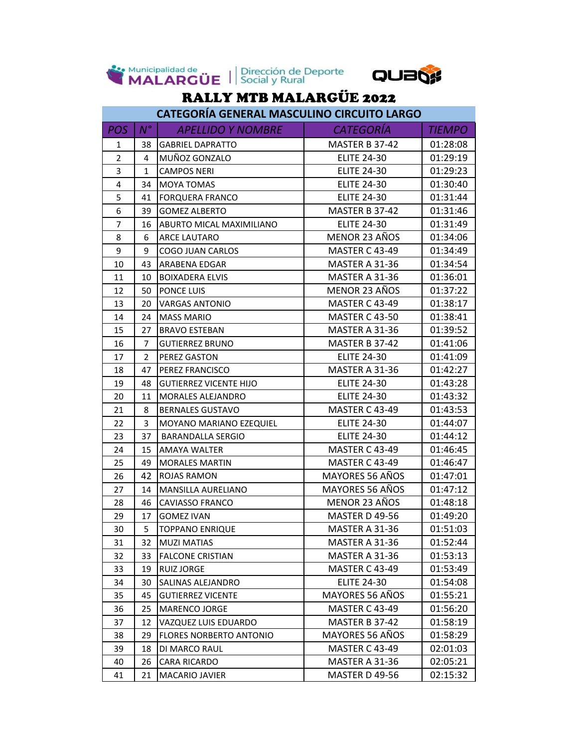

Municipalidad de Dirección de Deporte



## RALLY MTB MALARGÜE 2022

|                | CATEGORÍA GENERAL MASCULINO CIRCUITO LARGO |                                |                       |               |  |  |
|----------------|--------------------------------------------|--------------------------------|-----------------------|---------------|--|--|
| POS            | $N^{\circ}$                                | <b>APELLIDO Y NOMBRE</b>       | <b>CATEGORÍA</b>      | <b>TIEMPO</b> |  |  |
| 1              | 38                                         | <b>GABRIEL DAPRATTO</b>        | <b>MASTER B 37-42</b> | 01:28:08      |  |  |
| $\overline{2}$ | 4                                          | MUÑOZ GONZALO                  | <b>ELITE 24-30</b>    | 01:29:19      |  |  |
| 3              | $\mathbf{1}$                               | <b>CAMPOS NERI</b>             | <b>ELITE 24-30</b>    | 01:29:23      |  |  |
| 4              | 34                                         | <b>MOYA TOMAS</b>              | <b>ELITE 24-30</b>    | 01:30:40      |  |  |
| 5              | 41                                         | <b>FORQUERA FRANCO</b>         | <b>ELITE 24-30</b>    | 01:31:44      |  |  |
| 6              | 39                                         | <b>GOMEZ ALBERTO</b>           | MASTER B 37-42        | 01:31:46      |  |  |
| $\overline{7}$ | 16                                         | ABURTO MICAL MAXIMILIANO       | <b>ELITE 24-30</b>    | 01:31:49      |  |  |
| 8              | 6                                          | <b>ARCE LAUTARO</b>            | MENOR 23 AÑOS         | 01:34:06      |  |  |
| 9              | 9                                          | <b>COGO JUAN CARLOS</b>        | <b>MASTER C 43-49</b> | 01:34:49      |  |  |
| 10             | 43                                         | ARABENA EDGAR                  | MASTER A 31-36        | 01:34:54      |  |  |
| 11             | 10                                         | <b>BOIXADERA ELVIS</b>         | MASTER A 31-36        | 01:36:01      |  |  |
| 12             | 50                                         | PONCE LUIS                     | MENOR 23 AÑOS         | 01:37:22      |  |  |
| 13             | 20                                         | <b>VARGAS ANTONIO</b>          | <b>MASTER C 43-49</b> | 01:38:17      |  |  |
| 14             | 24                                         | <b>MASS MARIO</b>              | <b>MASTER C 43-50</b> | 01:38:41      |  |  |
| 15             | 27                                         | <b>BRAVO ESTEBAN</b>           | MASTER A 31-36        | 01:39:52      |  |  |
| 16             | $\overline{7}$                             | <b>GUTIERREZ BRUNO</b>         | MASTER B 37-42        | 01:41:06      |  |  |
| 17             | $\overline{2}$                             | PEREZ GASTON                   | <b>ELITE 24-30</b>    | 01:41:09      |  |  |
| 18             | 47                                         | PEREZ FRANCISCO                | MASTER A 31-36        | 01:42:27      |  |  |
| 19             | 48                                         | <b>GUTIERREZ VICENTE HIJO</b>  | <b>ELITE 24-30</b>    | 01:43:28      |  |  |
| 20             | 11                                         | <b>MORALES ALEJANDRO</b>       | <b>ELITE 24-30</b>    | 01:43:32      |  |  |
| 21             | 8                                          | <b>BERNALES GUSTAVO</b>        | <b>MASTER C 43-49</b> | 01:43:53      |  |  |
| 22             | 3                                          | MOYANO MARIANO EZEQUIEL        | <b>ELITE 24-30</b>    | 01:44:07      |  |  |
| 23             | 37                                         | <b>BARANDALLA SERGIO</b>       | <b>ELITE 24-30</b>    | 01:44:12      |  |  |
| 24             | 15                                         | AMAYA WALTER                   | <b>MASTER C 43-49</b> | 01:46:45      |  |  |
| 25             | 49                                         | <b>MORALES MARTIN</b>          | <b>MASTER C 43-49</b> | 01:46:47      |  |  |
| 26             | 42                                         | <b>ROJAS RAMON</b>             | MAYORES 56 AÑOS       | 01:47:01      |  |  |
| 27             | 14                                         | <b>MANSILLA AURELIANO</b>      | MAYORES 56 AÑOS       | 01:47:12      |  |  |
| 28             | 46                                         | <b>CAVIASSO FRANCO</b>         | MENOR 23 AÑOS         | 01:48:18      |  |  |
| 29             | 17                                         | <b>GOMEZ IVAN</b>              | <b>MASTER D 49-56</b> | 01:49:20      |  |  |
| 30             | 5                                          | <b>TOPPANO ENRIQUE</b>         | MASTER A 31-36        | 01:51:03      |  |  |
| 31             | 32                                         | <b>MUZI MATIAS</b>             | MASTER A 31-36        | 01:52:44      |  |  |
| 32             | 33                                         | <b>FALCONE CRISTIAN</b>        | MASTER A 31-36        | 01:53:13      |  |  |
| 33             | 19                                         | <b>RUIZ JORGE</b>              | <b>MASTER C 43-49</b> | 01:53:49      |  |  |
| 34             | 30                                         | SALINAS ALEJANDRO              | <b>ELITE 24-30</b>    | 01:54:08      |  |  |
| 35             | 45                                         | <b>GUTIERREZ VICENTE</b>       | MAYORES 56 AÑOS       | 01:55:21      |  |  |
| 36             | 25                                         | <b>MARENCO JORGE</b>           | <b>MASTER C 43-49</b> | 01:56:20      |  |  |
| 37             | 12                                         | VAZQUEZ LUIS EDUARDO           | MASTER B 37-42        | 01:58:19      |  |  |
| 38             | 29                                         | <b>FLORES NORBERTO ANTONIO</b> | MAYORES 56 AÑOS       | 01:58:29      |  |  |
| 39             | 18                                         | DI MARCO RAUL                  | <b>MASTER C 43-49</b> | 02:01:03      |  |  |
| 40             | 26                                         | <b>CARA RICARDO</b>            | <b>MASTER A 31-36</b> | 02:05:21      |  |  |
| 41             | 21                                         | <b>MACARIO JAVIER</b>          | MASTER D 49-56        | 02:15:32      |  |  |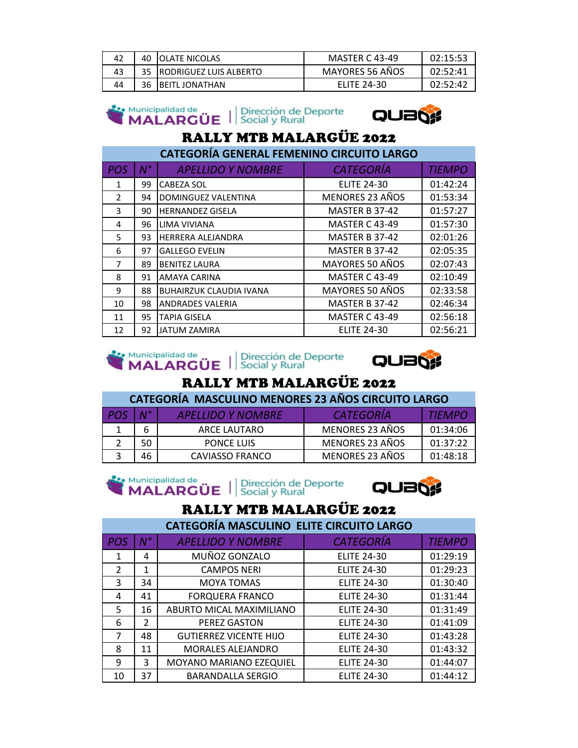| 42 | 40 | <b>IOLATE NICOLAS</b>     | <b>MASTER C 43-49</b> | 02:15:53 |
|----|----|---------------------------|-----------------------|----------|
| 43 |    | 35 RODRIGUEZ LUIS ALBERTO | MAYORES 56 AÑOS       | 02:52:41 |
| 44 | 36 | <b>IBEITL JONATHAN</b>    | <b>ELITE 24-30</b>    | 02:52:42 |

| $\sum_{i}^{Municipalidad de}$ Municipalidad de $\sum_{i}^{M}$ Dirección de Deporte | Municipalidad de |  |  |
|------------------------------------------------------------------------------------|------------------|--|--|
|------------------------------------------------------------------------------------|------------------|--|--|

ك



## RALLY MTB MALARGÜE 2022

| <b>CATEGORÍA GENERAL FEMENINO CIRCUITO LARGO</b> |             |                                |                       |               |  |
|--------------------------------------------------|-------------|--------------------------------|-----------------------|---------------|--|
| <b>POS</b>                                       | $N^{\circ}$ | <b>APELLIDO Y NOMBRE</b>       | <b>CATEGORÍA</b>      | <b>TIEMPO</b> |  |
| 1                                                | 99          | <b>CABEZA SOL</b>              | <b>ELITE 24-30</b>    | 01:42:24      |  |
| $\overline{2}$                                   | 94          | <b>DOMINGUEZ VALENTINA</b>     | MENORES 23 AÑOS       | 01:53:34      |  |
| 3                                                | 90          | <b>HERNANDEZ GISELA</b>        | MASTER B 37-42        | 01:57:27      |  |
| 4                                                | 96          | LIMA VIVIANA                   | <b>MASTER C 43-49</b> | 01:57:30      |  |
| 5                                                | 93          | HERRERA ALEJANDRA              | MASTER B 37-42        | 02:01:26      |  |
| 6                                                | 97          | <b>GALLEGO EVELIN</b>          | MASTER B 37-42        | 02:05:35      |  |
| 7                                                | 89          | <b>BENITEZ LAURA</b>           | MAYORES 50 AÑOS       | 02:07:43      |  |
| 8                                                | 91          | AMAYA CARINA                   | <b>MASTER C 43-49</b> | 02:10:49      |  |
| 9                                                | 88          | <b>BUHAIRZUK CLAUDIA IVANA</b> | MAYORES 50 AÑOS       | 02:33:58      |  |
| 10                                               | 98          | <b>ANDRADES VALERIA</b>        | MASTER B 37-42        | 02:46:34      |  |
| 11                                               | 95          | <b>TAPIA GISELA</b>            | <b>MASTER C 43-49</b> | 02:56:18      |  |
| 12                                               | 92          | <b>JATUM ZAMIRA</b>            | <b>ELITE 24-30</b>    | 02:56:21      |  |

# So Municipalidad de Universión de Deporte



### RALLY MTB MALARGÜE 2022

**CATEGORÍA MASCULINO MENORES 23 AÑOS CIRCUITO LARGO**

| PO <sup>o</sup> | $\mathbf{M}^{\circ}$ | <b>APELLIDO Y NOMBRE</b> | <b>CATEGORIA</b> | <i>TIFMPO</i> |
|-----------------|----------------------|--------------------------|------------------|---------------|
|                 |                      | ARCE LAUTARO             | MENORES 23 AÑOS  | 01:34:06      |
|                 | 50                   | <b>PONCE LUIS</b>        | MENORES 23 AÑOS  | 01:37:22      |
|                 | 46                   | CAVIASSO FRANCO          | MENORES 23 AÑOS  | 01:48:18      |





## RALLY MTB MALARGÜE 2022

**CATEGORÍA MASCULINO ELITE CIRCUITO LARGO**

| <b>POS</b> | $\mathbf{N}^{\circ}$ | <b>APELLIDO Y NOMBRE</b>      | <b>CATEGORÍA</b>   | <b>TIEMPO</b> |
|------------|----------------------|-------------------------------|--------------------|---------------|
| 1          | 4                    | MUÑOZ GONZALO                 | <b>ELITE 24-30</b> | 01:29:19      |
| 2          | 1                    | <b>CAMPOS NERI</b>            | <b>ELITE 24-30</b> | 01:29:23      |
| 3          | 34                   | <b>MOYA TOMAS</b>             | <b>ELITE 24-30</b> | 01:30:40      |
| 4          | 41                   | <b>FORQUERA FRANCO</b>        | <b>ELITE 24-30</b> | 01:31:44      |
| 5          | 16                   | ABURTO MICAL MAXIMILIANO      | <b>ELITE 24-30</b> | 01:31:49      |
| 6          | $\overline{2}$       | PEREZ GASTON                  | <b>ELITE 24-30</b> | 01:41:09      |
| 7          | 48                   | <b>GUTIERREZ VICENTE HIJO</b> | <b>ELITE 24-30</b> | 01:43:28      |
| 8          | 11                   | <b>MORALES ALEJANDRO</b>      | <b>ELITE 24-30</b> | 01:43:32      |
| 9          | 3                    | MOYANO MARIANO EZEQUIEL       | <b>ELITE 24-30</b> | 01:44:07      |
| 10         | 37                   | <b>BARANDALLA SERGIO</b>      | <b>ELITE 24-30</b> | 01:44:12      |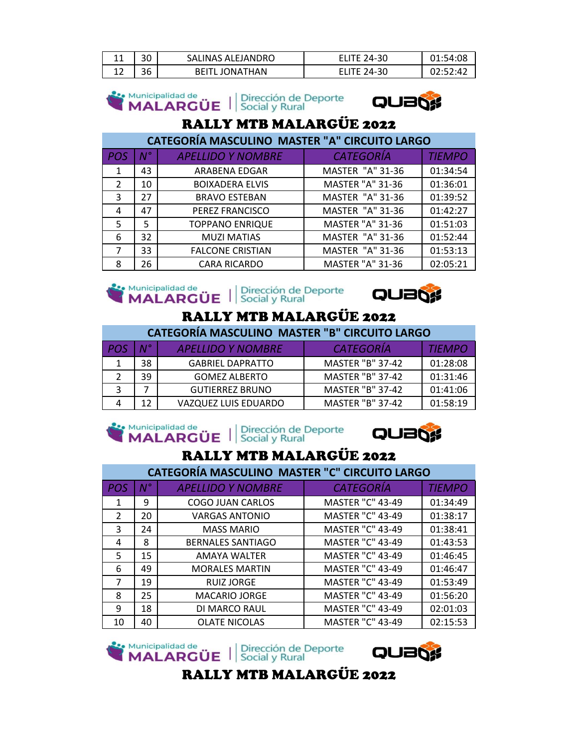| ᆠᆠ | 30 | SALINAS ALEJANDRO | 24-30 | $+0.2$ |
|----|----|-------------------|-------|--------|
| ∸∸ | 36 | ONATHAN           | 24-30 |        |

Se Municipalidad de UDI Dirección de Deporte



## RALLY MTB MALARGÜE 2022

| <b>CATEGORÍA MASCULINO MASTER "A" CIRCUITO LARGO</b> |             |                          |                         |               |  |
|------------------------------------------------------|-------------|--------------------------|-------------------------|---------------|--|
| POS                                                  | $N^{\circ}$ | <b>APELLIDO Y NOMBRE</b> | <b>CATEGORÍA</b>        | <b>TIEMPO</b> |  |
| 1                                                    | 43          | ARABENA EDGAR            | <b>MASTER "A" 31-36</b> | 01:34:54      |  |
| 2                                                    | 10          | <b>BOIXADERA ELVIS</b>   | <b>MASTER "A" 31-36</b> | 01:36:01      |  |
| 3                                                    | 27          | <b>BRAVO ESTEBAN</b>     | <b>MASTER "A" 31-36</b> | 01:39:52      |  |
| 4                                                    | 47          | PEREZ FRANCISCO          | <b>MASTER "A" 31-36</b> | 01:42:27      |  |
| 5                                                    | 5.          | <b>TOPPANO ENRIQUE</b>   | <b>MASTER "A" 31-36</b> | 01:51:03      |  |
| 6                                                    | 32          | <b>MUZI MATIAS</b>       | <b>MASTER "A" 31-36</b> | 01:52:44      |  |
| 7                                                    | 33          | <b>FALCONE CRISTIAN</b>  | <b>MASTER "A" 31-36</b> | 01:53:13      |  |
| 8                                                    | 26          | <b>CARA RICARDO</b>      | <b>MASTER "A" 31-36</b> | 02:05:21      |  |







### RALLY MTB MALARGÜE 2022

| <b>CATEGORÍA MASCULINO MASTER "B" CIRCUITO LARGO</b> |             |                          |                         |               |  |
|------------------------------------------------------|-------------|--------------------------|-------------------------|---------------|--|
| POS                                                  | $N^{\circ}$ | <b>APELLIDO Y NOMBRE</b> | <b>CATEGORÍA</b>        | <b>TIEMPO</b> |  |
|                                                      | 38          | <b>GABRIEL DAPRATTO</b>  | <b>MASTER "B" 37-42</b> | 01:28:08      |  |
|                                                      | 39          | <b>GOMEZ ALBERTO</b>     | <b>MASTER "B" 37-42</b> | 01:31:46      |  |
| 3                                                    |             | <b>GUTIERREZ BRUNO</b>   | <b>MASTER "B" 37-42</b> | 01:41:06      |  |
|                                                      | 12          | VAZQUEZ LUIS EDUARDO     | <b>MASTER "B" 37-42</b> | 01:58:19      |  |





## RALLY MTB MALARGÜE 2022

|                | <b>CATEGORÍA MASCULINO MASTER "C" CIRCUITO LARGO</b> |                          |                         |               |  |  |
|----------------|------------------------------------------------------|--------------------------|-------------------------|---------------|--|--|
| <b>POS</b>     | N°                                                   | <b>APELLIDO Y NOMBRE</b> | <b>CATEGORÍA</b>        | <b>TIEMPO</b> |  |  |
| 1              | 9                                                    | <b>COGO JUAN CARLOS</b>  | <b>MASTER "C" 43-49</b> | 01:34:49      |  |  |
| $\overline{2}$ | 20                                                   | <b>VARGAS ANTONIO</b>    | <b>MASTER "C" 43-49</b> | 01:38:17      |  |  |
| 3              | 24                                                   | <b>MASS MARIO</b>        | <b>MASTER "C" 43-49</b> | 01:38:41      |  |  |
| 4              | 8                                                    | <b>BERNALES SANTIAGO</b> | <b>MASTER "C" 43-49</b> | 01:43:53      |  |  |
| 5              | 15                                                   | <b>AMAYA WALTER</b>      | <b>MASTER "C" 43-49</b> | 01:46:45      |  |  |
| 6              | 49                                                   | <b>MORALES MARTIN</b>    | <b>MASTER "C" 43-49</b> | 01:46:47      |  |  |
| 7              | 19                                                   | <b>RUIZ JORGE</b>        | <b>MASTER "C" 43-49</b> | 01:53:49      |  |  |
| 8              | 25                                                   | <b>MACARIO JORGE</b>     | <b>MASTER "C" 43-49</b> | 01:56:20      |  |  |
| 9              | 18                                                   | DI MARCO RAUL            | <b>MASTER "C" 43-49</b> | 02:01:03      |  |  |
| 10             | 40                                                   | <b>OLATE NICOLAS</b>     | <b>MASTER "C" 43-49</b> | 02:15:53      |  |  |





RALLY MTB MALARGÜE 2022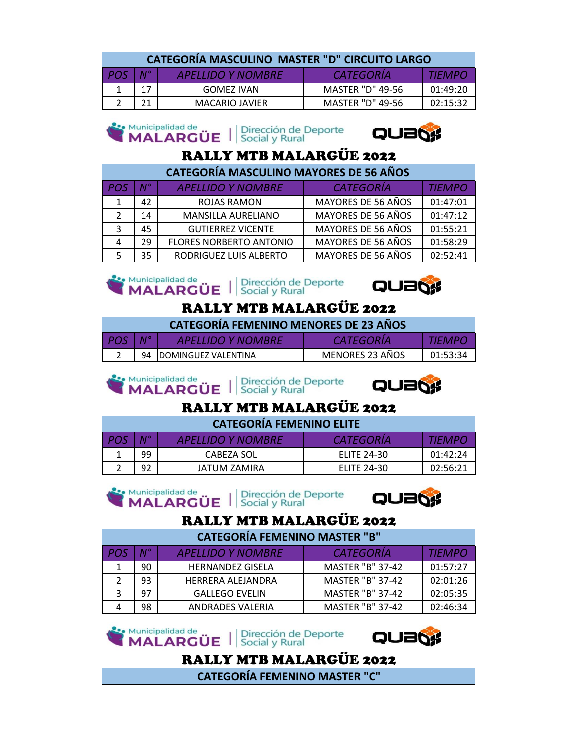| <b>CATEGORÍA MASCULINO MASTER "D" CIRCUITO LARGO</b> |  |                          |                  |          |  |
|------------------------------------------------------|--|--------------------------|------------------|----------|--|
| $POS \mid N^{\circ}$                                 |  | <b>APELLIDO Y NOMBRE</b> | CATEGORIA        | TIFMPO   |  |
| $\mathbf{1}$                                         |  | GOMEZ IVAN               | MASTER "D" 49-56 | 01:49:20 |  |

2 21 MACARIO JAVIER MASTER "D" 49-56 02:15:32

#### Municipalidad de Municipalidad de Universión de Deporte



## RALLY MTB MALARGÜE 2022

| <b>CATEGORÍA MASCULINO MAYORES DE 56 AÑOS</b> |             |                                |                    |               |  |
|-----------------------------------------------|-------------|--------------------------------|--------------------|---------------|--|
| POS                                           | $N^{\circ}$ | <b>APELLIDO Y NOMBRE</b>       | <b>CATEGORÍA</b>   | <b>TIEMPO</b> |  |
| 1                                             | 42          | ROJAS RAMON                    | MAYORES DE 56 AÑOS | 01:47:01      |  |
| 2                                             | 14          | <b>MANSILLA AURELIANO</b>      | MAYORES DE 56 AÑOS | 01:47:12      |  |
| 3                                             | 45          | <b>GUTIERREZ VICENTE</b>       | MAYORES DE 56 AÑOS | 01:55:21      |  |
|                                               | 29          | <b>FLORES NORBERTO ANTONIO</b> | MAYORES DE 56 AÑOS | 01:58:29      |  |
|                                               | 35          | RODRIGUEZ LUIS ALBERTO         | MAYORES DE 56 AÑOS | 02:52:41      |  |





### RALLY MTB MALARGÜE 2022

**CATEGORÍA FEMENINO MENORES DE 23 AÑOS** 

|   |    | <b>TIJO Y NOMBRE</b><br>Δυ⊧ι |                 |    |
|---|----|------------------------------|-----------------|----|
| ∽ | 94 | <b>IDOMINGUEZ VALENTINA</b>  | MENORES 23 AÑOS | ≺⊿ |

Municipalidad de Dirección de Deporte **MALARGÜE** Social y Rural



## RALLY MTB MALARGÜE 2022

| <b>CATEGORÍA FEMENINO ELITE</b> |             |                          |                    |               |  |
|---------------------------------|-------------|--------------------------|--------------------|---------------|--|
| <b>POS</b>                      | $N^{\circ}$ | <b>APELLIDO Y NOMBRE</b> | <b>CATEGORIA</b>   | <i>TIEMPO</i> |  |
|                                 | 99          | CABEZA SOL               | <b>ELITE 24-30</b> | 01:42:24      |  |
|                                 | 92          | JATUM ZAMIRA             | <b>ELITE 24-30</b> | 02:56:21      |  |





### RALLY MTB MALARGÜE 2022

| <b>CATEGORÍA FEMENINO MASTER "B"</b> |             |                          |                         |               |
|--------------------------------------|-------------|--------------------------|-------------------------|---------------|
| POS                                  | $N^{\circ}$ | <b>APELLIDO Y NOMBRE</b> | <b>CATEGORIA</b>        | <b>TIEMPO</b> |
|                                      | 90          | <b>HERNANDEZ GISELA</b>  | <b>MASTER "B" 37-42</b> | 01:57:27      |
|                                      | 93          | HERRERA ALEJANDRA        | <b>MASTER "B" 37-42</b> | 02:01:26      |
|                                      | 97          | <b>GALLEGO EVELIN</b>    | <b>MASTER "B" 37-42</b> | 02:05:35      |
|                                      | 98          | ANDRADES VALERIA         | <b>MASTER "B" 37-42</b> | 02:46:34      |

Municipalidad de Municipalidad de Universión de Deporte



## RALLY MTB MALARGÜE 2022

**CATEGORÍA FEMENINO MASTER "C"**